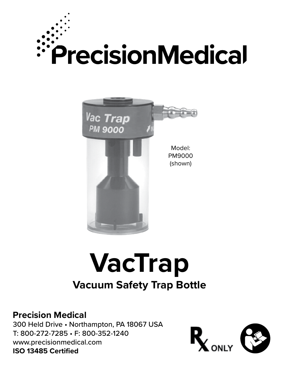



# **VacTrap Vacuum Safety Trap Bottle**

#### **Precision Medical**

300 Held Drive • Northampton, PA 18067 USA T: 800-272-7285 • F: 800-352-1240 www.precisionmedical.com **ISO 13485 Certified**

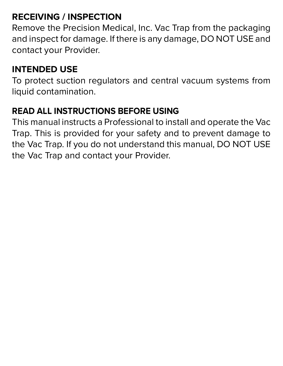#### **RECEIVING / INSPECTION**

Remove the Precision Medical, Inc. Vac Trap from the packaging and inspect for damage. If there is any damage, DO NOT USE and contact your Provider.

#### **INTENDED USE**

To protect suction regulators and central vacuum systems from liquid contamination.

#### **READ ALL INSTRUCTIONS BEFORE USING**

This manual instructs a Professional to install and operate the Vac Trap. This is provided for your safety and to prevent damage to the Vac Trap. If you do not understand this manual, DO NOT USE the Vac Trap and contact your Provider.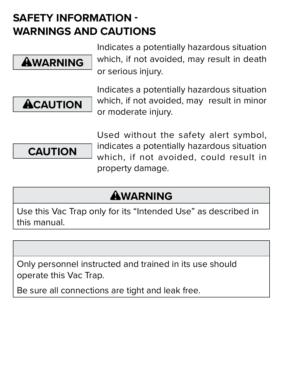### **SAFETY INFORMATION - WARNINGS AND CAUTIONS**



Indicates a potentially hazardous situation which, if not avoided, may result in death or serious injury.



Indicates a potentially hazardous situation which, if not avoided, may result in minor or moderate injury.



Used without the safety alert symbol, indicates a potentially hazardous situation which, if not avoided, could result in property damage.

## **AWARNING**

Use this Vac Trap only for its "Intended Use" as described in this manual.

Only personnel instructed and trained in its use should operate this Vac Trap.

Be sure all connections are tight and leak free.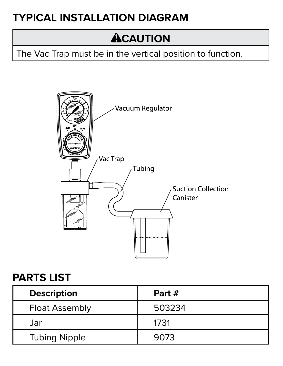### **TYPICAL INSTALLATION DIAGRAM**

# **ACAUTION**

The Vac Trap must be in the vertical position to function.



#### **PARTS LIST**

| <b>Description</b>    | Part # |
|-----------------------|--------|
| <b>Float Assembly</b> | 503234 |
| Jar                   | 1731   |
| <b>Tubing Nipple</b>  | 9073   |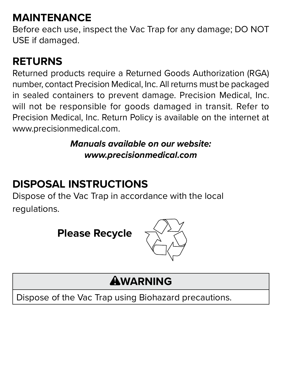### **MAINTENANCE**

Before each use, inspect the Vac Trap for any damage; DO NOT USE if damaged.

### **RETURNS**

Returned products require a Returned Goods Authorization (RGA) number, contact Precision Medical, Inc. All returns must be packaged in sealed containers to prevent damage. Precision Medical, Inc. will not be responsible for goods damaged in transit. Refer to Precision Medical, Inc. Return Policy is available on the internet at www.precisionmedical.com.

> *Manuals available on our website: www.precisionmedical.com*

### **DISPOSAL INSTRUCTIONS**

Dispose of the Vac Trap in accordance with the local regulations.



### **WARNING**

Dispose of the Vac Trap using Biohazard precautions.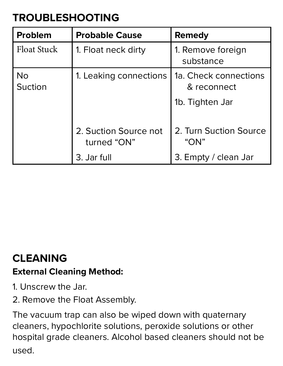### **TROUBLESHOOTING**

| l Problem       | <b>Probable Cause</b>                | Remedy                               |
|-----------------|--------------------------------------|--------------------------------------|
| l Float Stuck-  | 1. Float neck dirty                  | 1. Remove foreign<br>substance       |
| l No<br>Suction | 1. Leaking connections               | 1a. Check connections<br>& reconnect |
|                 |                                      | 1b. Tighten Jar                      |
|                 | 2. Suction Source not<br>turned "ON" | 2. Turn Suction Source<br>" $ON$ "   |
|                 | 3. Jar full                          | 3. Empty / clean Jar                 |

#### **CLEANING**

#### **External Cleaning Method:**

- 1. Unscrew the Jar.
- 2. Remove the Float Assembly.

The vacuum trap can also be wiped down with quaternary cleaners, hypochlorite solutions, peroxide solutions or other hospital grade cleaners. Alcohol based cleaners should not be used.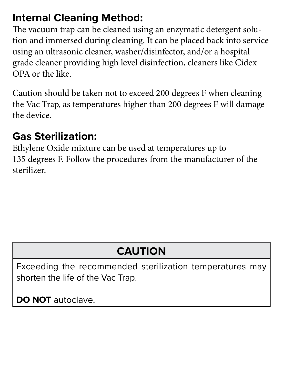#### **Internal Cleaning Method:**

The vacuum trap can be cleaned using an enzymatic detergent solution and immersed during cleaning. It can be placed back into service using an ultrasonic cleaner, washer/disinfector, and/or a hospital grade cleaner providing high level disinfection, cleaners like Cidex OPA or the like.

Caution should be taken not to exceed 200 degrees F when cleaning the Vac Trap, as temperatures higher than 200 degrees F will damage the device.

### **Gas Sterilization:**

Ethylene Oxide mixture can be used at temperatures up to 135 degrees F. Follow the procedures from the manufacturer of the sterilizer.

# **CAUTION**

Exceeding the recommended sterilization temperatures may shorten the life of the Vac Trap.

**DO NOT** autoclave.